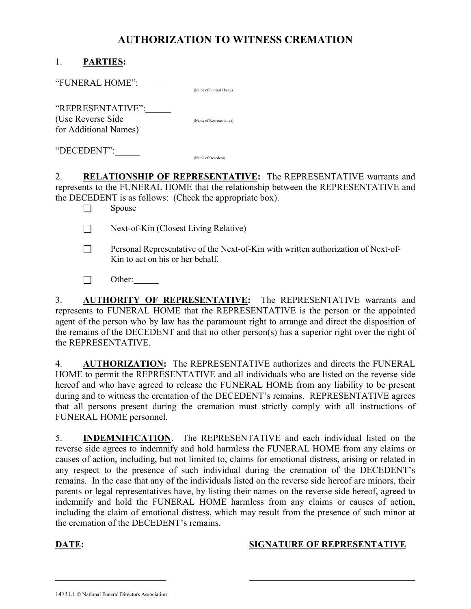## AUTHORIZATION TO WITNESS CREMATION

| <b>PARTIES:</b> |
|-----------------|
|-----------------|

"FUNERAL HOME":

(Name of Funeral Home)

"REPRESENTATIVE": (Use Reverse Side (Name of Representative)

for Additional Names)

"DECEDENT": (Name of Decedent)

2. RELATIONSHIP OF REPRESENTATIVE: The REPRESENTATIVE warrants and represents to the FUNERAL HOME that the relationship between the REPRESENTATIVE and the DECEDENT is as follows: (Check the appropriate box).

 $\Box$  Spouse

Next-of-Kin (Closest Living Relative)

- Personal Representative of the Next-of-Kin with written authorization of Next-of- Kin to act on his or her behalf.
- Other:

3. **AUTHORITY OF REPRESENTATIVE:** The REPRESENTATIVE warrants and represents to FUNERAL HOME that the REPRESENTATIVE is the person or the appointed agent of the person who by law has the paramount right to arrange and direct the disposition of the remains of the DECEDENT and that no other person(s) has a superior right over the right of the REPRESENTATIVE.

4. AUTHORIZATION: The REPRESENTATIVE authorizes and directs the FUNERAL HOME to permit the REPRESENTATIVE and all individuals who are listed on the reverse side hereof and who have agreed to release the FUNERAL HOME from any liability to be present during and to witness the cremation of the DECEDENT's remains. REPRESENTATIVE agrees that all persons present during the cremation must strictly comply with all instructions of FUNERAL HOME personnel.

5. INDEMNIFICATION. The REPRESENTATIVE and each individual listed on the reverse side agrees to indemnify and hold harmless the FUNERAL HOME from any claims or causes of action, including, but not limited to, claims for emotional distress, arising or related in any respect to the presence of such individual during the cremation of the DECEDENT's remains. In the case that any of the individuals listed on the reverse side hereof are minors, their parents or legal representatives have, by listing their names on the reverse side hereof, agreed to indemnify and hold the FUNERAL HOME harmless from any claims or causes of action, including the claim of emotional distress, which may result from the presence of such minor at the cremation of the DECEDENT's remains.

l

## DATE: SIGNATURE OF REPRESENTATIVE